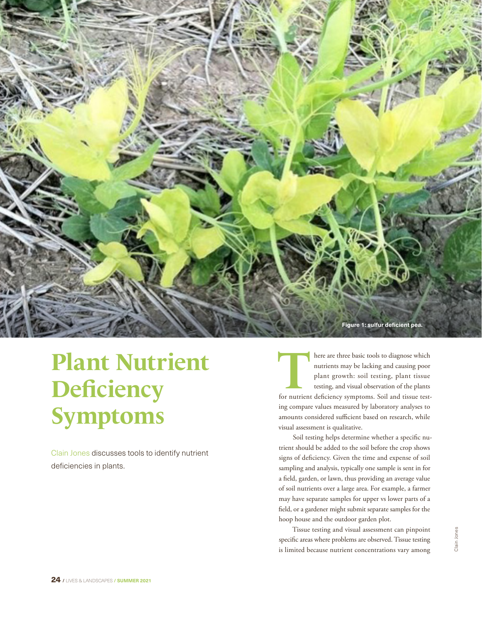

## **Plant Nutrient Deficiency Symptoms**

Clain Jones discusses tools to identify nutrient deficiencies in plants.

here are three basic tools to diagnose which<br>
nutrients may be lacking and causing poor<br>
plant growth: soil testing, plant tissue<br>
testing, and visual observation of the plants<br>
for nutrient deficiency symptoms. Soil and t nutrients may be lacking and causing poor plant growth: soil testing, plant tissue testing, and visual observation of the plants ing compare values measured by laboratory analyses to amounts considered sufficient based on research, while visual assessment is qualitative.

Soil testing helps determine whether a specific nutrient should be added to the soil before the crop shows signs of deficiency. Given the time and expense of soil sampling and analysis, typically one sample is sent in for a field, garden, or lawn, thus providing an average value of soil nutrients over a large area. For example, a farmer may have separate samples for upper vs lower parts of a field, or a gardener might submit separate samples for the hoop house and the outdoor garden plot.

Tissue testing and visual assessment can pinpoint specific areas where problems are observed. Tissue testing is limited because nutrient concentrations vary among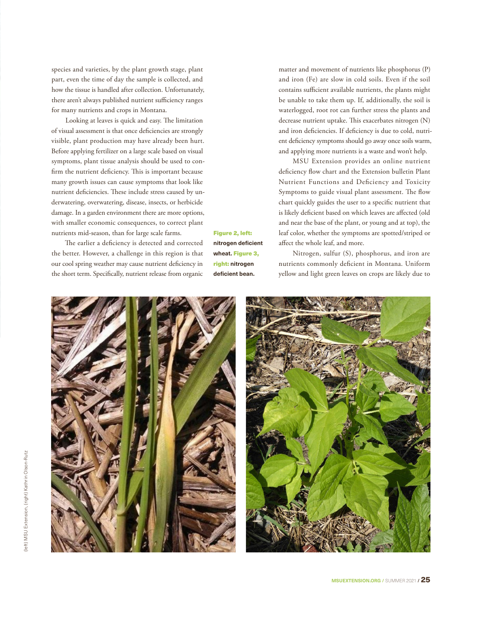species and varieties, by the plant growth stage, plant part, even the time of day the sample is collected, and how the tissue is handled after collection. Unfortunately, there aren't always published nutrient sufficiency ranges for many nutrients and crops in Montana.

Looking at leaves is quick and easy. The limitation of visual assessment is that once deficiencies are strongly visible, plant production may have already been hurt. Before applying fertilizer on a large scale based on visual symptoms, plant tissue analysis should be used to confirm the nutrient deficiency. This is important because many growth issues can cause symptoms that look like nutrient deficiencies. These include stress caused by underwatering, overwatering, disease, insects, or herbicide damage. In a garden environment there are more options, with smaller economic consequences, to correct plant nutrients mid-season, than for large scale farms.

The earlier a deficiency is detected and corrected the better. However, a challenge in this region is that our cool spring weather may cause nutrient deficiency in the short term. Specifically, nutrient release from organic

Figure 2, left: **nitrogen deficient wheat.** Figure 3, right: **nitrogen deficient bean.**

matter and movement of nutrients like phosphorus (P) and iron (Fe) are slow in cold soils. Even if the soil contains sufficient available nutrients, the plants might be unable to take them up. If, additionally, the soil is waterlogged, root rot can further stress the plants and decrease nutrient uptake. This exacerbates nitrogen (N) and iron deficiencies. If deficiency is due to cold, nutrient deficiency symptoms should go away once soils warm, and applying more nutrients is a waste and won't help.

MSU Extension provides an [online nutrient](https://landresources.montana.edu/soilfertility/nutrientdeficiencies.html)  [deficiency flow chart](https://landresources.montana.edu/soilfertility/nutrientdeficiencies.html) and the Extension bulletin [Plant](https://store.msuextension.org/Products/Nutrient-Management-Module-09-Plant-Nutrient-Functions-and-Deficiency-and-Toxicity-Symptoms-4449-9__4449-9.aspx)  [Nutrient Functions and Deficiency and Toxicity](https://store.msuextension.org/Products/Nutrient-Management-Module-09-Plant-Nutrient-Functions-and-Deficiency-and-Toxicity-Symptoms-4449-9__4449-9.aspx)  [Symptoms](https://store.msuextension.org/Products/Nutrient-Management-Module-09-Plant-Nutrient-Functions-and-Deficiency-and-Toxicity-Symptoms-4449-9__4449-9.aspx) to guide visual plant assessment. The flow chart quickly guides the user to a specific nutrient that is likely deficient based on which leaves are affected (old and near the base of the plant, or young and at top), the leaf color, whether the symptoms are spotted/striped or affect the whole leaf, and more.

Nitrogen, sulfur (S), phosphorus, and iron are nutrients commonly deficient in Montana. Uniform yellow and light green leaves on crops are likely due to